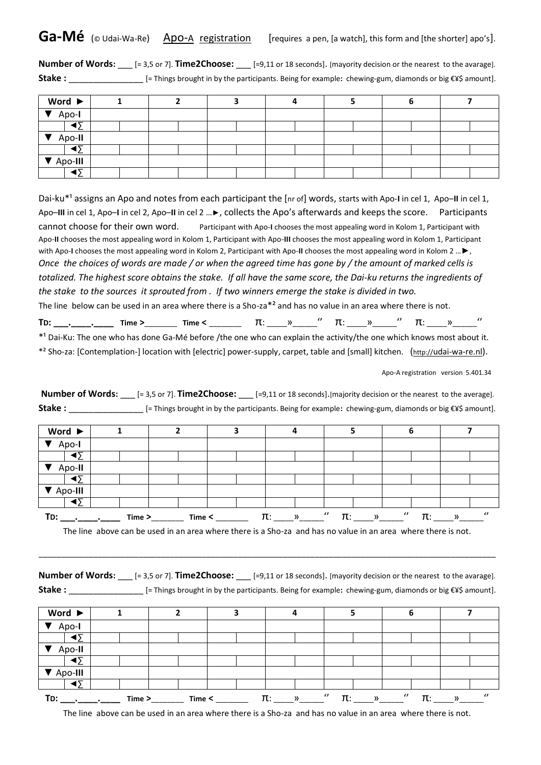**Number of Words:**  $\text{[= 3,5 or 7]}$ . **Time2Choose:**  $\text{[=9,11 or 18 seconds]}$ . [mayority decision or the nearest to the avarage]. **Stake :** \_\_\_\_\_\_\_\_\_\_\_\_\_\_\_ [= Things brought in by the participants. Being for example**:** chewing-gum, diamonds or big €¥\$ amount].

| Word $\blacktriangleright$ |  |  |  |  |
|----------------------------|--|--|--|--|
| $\sqrt{4po}$               |  |  |  |  |
| ∢≻                         |  |  |  |  |
| $\sqrt{2}$ Apo-II          |  |  |  |  |
|                            |  |  |  |  |
| $\nabla$ Apo-III           |  |  |  |  |
| ι٣                         |  |  |  |  |

Dai-ku<sup>\*1</sup> assigns an Apo and notes from each participant the [nr of] words, starts with Apo-I in cel 1, Apo-II in cel 1, Apo–**III** in cel 1, Apo–**I** in cel 2, Apo–**II** in cel 2 …►, collects the Apo's afterwards and keeps the score. Participants cannot choose for their own word. Participant with Apo-**I** chooses the most appealing word in Kolom 1, Participant with Apo-**II** chooses the most appealing word in Kolom 1, Participant with Apo-**III** chooses the most appealing word in Kolom 1, Participant with Apo-**I** chooses the most appealing word in Kolom 2, Participant with Apo-**II** chooses the most appealing word in Kolom 2 …►, *Once the choices of words are made / or when the agreed time has gone by / the amount of marked cells is totalized. The highest score obtains the stake. If all have the same score, the Dai-ku returns the ingredients of the stake to the sources it sprouted from . If two winners emerge the stake is divided in two.*  The line below can be used in an area where there is a Sho-za\*² and has no value in an area where there is not.

**TD: \_\_\_.\_\_\_\_.\_\_\_\_ Time >**\_\_\_\_\_\_\_\_ **Time <** \_\_\_\_\_\_\_\_ π: \_\_\_\_\_»\_\_\_\_\_\_'' π: \_\_\_\_\_»\_\_\_\_\_\_'' π: \_\_\_\_\_»\_\_\_\_\_\_''

\*<sup>1</sup> Dai-Ku: The one who has done Ga-Mé before /the one who can explain the activity/the one which knows most about it.

\*² Sho-za: [Contemplation-] location with [electric] power-supply, carpet, table and [small] kitchen. (http://[udai-wa-re.nl](http://udai-wa-re.nl/)).

Apo-A registration version 5.401.34

**Number of Words:** \_\_\_ [= 3,5 or 7]. **Time2Choose:** \_\_\_ [=9,11 or 18 seconds].[majority decision or the nearest to the average]. **Stake :** \_\_\_\_\_\_\_\_\_\_\_\_\_\_\_ [= Things brought in by the participants. Being for example**:** chewing-gum, diamonds or big €¥\$ amount].

| Word $\blacktriangleright$ |        |        |         |                                 | ь              |                            |
|----------------------------|--------|--------|---------|---------------------------------|----------------|----------------------------|
| Apo-I                      |        |        |         |                                 |                |                            |
| ◀Σ                         |        |        |         |                                 |                |                            |
| Apo-II                     |        |        |         |                                 |                |                            |
| ৰΣ                         |        |        |         |                                 |                |                            |
| Apo-III                    |        |        |         |                                 |                |                            |
| $\blacktriangleleft$       |        |        |         |                                 |                |                            |
| TD:                        | Time > | Time < | π:<br>» | $\prime$<br>π:<br>$\mathcal{V}$ | $\prime$<br>π٠ | $\boldsymbol{\theta}$<br>» |

The line above can be used in an area where there is a Sho-za and has no value in an area where there is not.

\_\_\_\_\_\_\_\_\_\_\_\_\_\_\_\_\_\_\_\_\_\_\_\_\_\_\_\_\_\_\_\_\_\_\_\_\_\_\_\_\_\_\_\_\_\_\_\_\_\_\_\_\_\_\_\_\_\_\_\_\_\_\_\_\_\_\_\_\_\_\_\_\_\_\_\_\_\_\_\_\_\_\_\_\_\_\_\_\_\_\_\_\_\_\_\_\_\_\_\_\_

| <b>Number of Words:</b> | $[=3,5$ or 7]. <b>Time2Choose:</b> | $[-9.11 \text{ or } 18 \text{ seconds}]$ . [mayority decision or the nearest to the avarage].           |
|-------------------------|------------------------------------|---------------------------------------------------------------------------------------------------------|
| Stake:                  |                                    | [= Things brought in by the participants. Being for example: chewing-gum, diamonds or big €¥\$ amount]. |

| Word $\blacktriangleright$ |        |        |                          |                                         | O              |                           |
|----------------------------|--------|--------|--------------------------|-----------------------------------------|----------------|---------------------------|
| Apo-I                      |        |        |                          |                                         |                |                           |
| ∢∢                         |        |        |                          |                                         |                |                           |
| Apo-II                     |        |        |                          |                                         |                |                           |
| ∢Σ                         |        |        |                          |                                         |                |                           |
| Apo-III                    |        |        |                          |                                         |                |                           |
| ৰΣ                         |        |        |                          |                                         |                |                           |
| TD:                        | Time > | Time < | $\pi$ :<br>$\rightarrow$ | $\boldsymbol{v}$<br>π:<br>$\mathcal{Y}$ | $\prime$<br>π: | $\prime$<br>$\mathcal{V}$ |

The line above can be used in an area where there is a Sho-za and has no value in an area where there is not.